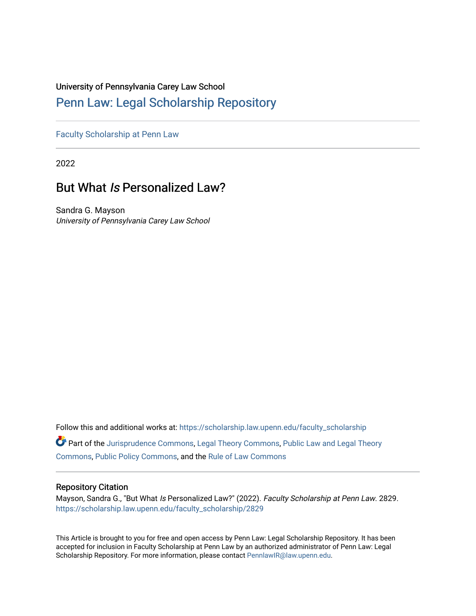#### University of Pennsylvania Carey Law School

#### [Penn Law: Legal Scholarship Repository](https://scholarship.law.upenn.edu/)

[Faculty Scholarship at Penn Law](https://scholarship.law.upenn.edu/faculty_scholarship)

2022

#### But What Is Personalized Law?

Sandra G. Mayson University of Pennsylvania Carey Law School

Follow this and additional works at: [https://scholarship.law.upenn.edu/faculty\\_scholarship](https://scholarship.law.upenn.edu/faculty_scholarship?utm_source=scholarship.law.upenn.edu%2Ffaculty_scholarship%2F2829&utm_medium=PDF&utm_campaign=PDFCoverPages) 

Part of the [Jurisprudence Commons](https://network.bepress.com/hgg/discipline/610?utm_source=scholarship.law.upenn.edu%2Ffaculty_scholarship%2F2829&utm_medium=PDF&utm_campaign=PDFCoverPages), [Legal Theory Commons,](https://network.bepress.com/hgg/discipline/369?utm_source=scholarship.law.upenn.edu%2Ffaculty_scholarship%2F2829&utm_medium=PDF&utm_campaign=PDFCoverPages) [Public Law and Legal Theory](https://network.bepress.com/hgg/discipline/871?utm_source=scholarship.law.upenn.edu%2Ffaculty_scholarship%2F2829&utm_medium=PDF&utm_campaign=PDFCoverPages) [Commons](https://network.bepress.com/hgg/discipline/871?utm_source=scholarship.law.upenn.edu%2Ffaculty_scholarship%2F2829&utm_medium=PDF&utm_campaign=PDFCoverPages), [Public Policy Commons,](https://network.bepress.com/hgg/discipline/400?utm_source=scholarship.law.upenn.edu%2Ffaculty_scholarship%2F2829&utm_medium=PDF&utm_campaign=PDFCoverPages) and the [Rule of Law Commons](https://network.bepress.com/hgg/discipline/1122?utm_source=scholarship.law.upenn.edu%2Ffaculty_scholarship%2F2829&utm_medium=PDF&utm_campaign=PDFCoverPages)

#### Repository Citation

Mayson, Sandra G., "But What Is Personalized Law?" (2022). Faculty Scholarship at Penn Law. 2829. [https://scholarship.law.upenn.edu/faculty\\_scholarship/2829](https://scholarship.law.upenn.edu/faculty_scholarship/2829?utm_source=scholarship.law.upenn.edu%2Ffaculty_scholarship%2F2829&utm_medium=PDF&utm_campaign=PDFCoverPages)

This Article is brought to you for free and open access by Penn Law: Legal Scholarship Repository. It has been accepted for inclusion in Faculty Scholarship at Penn Law by an authorized administrator of Penn Law: Legal Scholarship Repository. For more information, please contact [PennlawIR@law.upenn.edu.](mailto:PennlawIR@law.upenn.edu)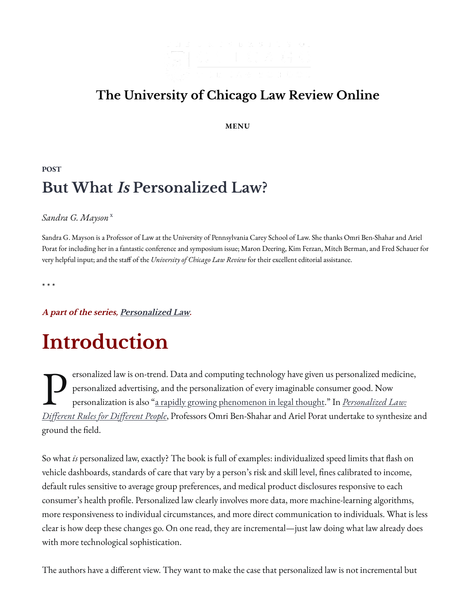

### **[The University of Chicago Law Review Online](https://lawreviewblog.uchicago.edu/)**

**MENU**

#### **[POST](https://lawreviewblog.uchicago.edu/category/post/) But What Is Personalized Law?**

#### *Sandra G. Mayson* [x](javascript:void(0))

Sandra G. Mayson is a Professor of Law at the University of Pennsylvania Carey School of Law. She thanks Omri Ben-Shahar and Ariel Porat for including her in a fantastic conference and symposium issue; Maron Deering, Kim Ferzan, Mitch Berman, and Fred Schauer for very helpful input; and the staff of the *University of Chicago Law Review* for their excellent editorial assistance.

\* \* \*

**A part of the series, [Personalized Law](https://lawreviewblog.uchicago.edu/2022/03/09/bp-series/).**

# **Introduction**

P ersonalized law is on-trend. Data and computing technology have given us personalized medicine, personalized advertising, and the personalization of every imaginable consumer good. Now personalization is also ["a rapidly growing phenomenon in legal thought.](https://papers.ssrn.com/sol3/papers.cfm?abstract_id=3536174)" In *[Personalized Law:](https://global.oup.com/academic/product/personalized-law-9780197522813?cc=us&lang=en&) Di�[erent Rules for Di](https://global.oup.com/academic/product/personalized-law-9780197522813?cc=us&lang=en&)�erent People*, Professors Omri Ben-Shahar and Ariel Porat undertake to synthesize and ground the field.

So what *is* personalized law, exactly? The book is full of examples: individualized speed limits that �ash on vehicle dashboards, standards of care that vary by a person's risk and skill level, fines calibrated to income, default rules sensitive to average group preferences, and medical product disclosures responsive to each consumer's health profile. Personalized law clearly involves more data, more machine-learning algorithms, more responsiveness to individual circumstances, and more direct communication to individuals. What is less clear is how deep these changes go. On one read, they are incremental—just law doing what law already does with more technological sophistication.

The authors have a different view. They want to make the case that personalized law is not incremental but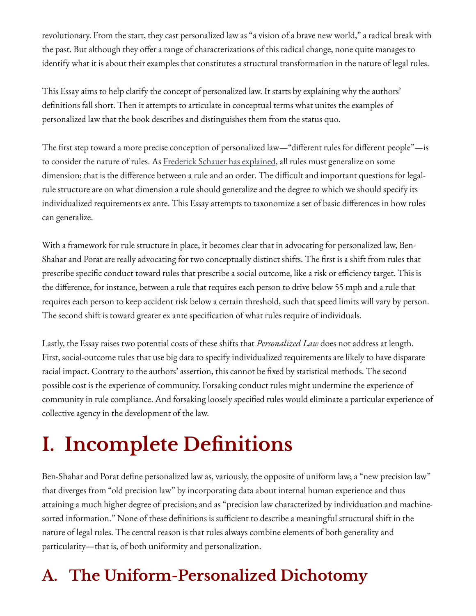revolutionary. From the start, they cast personalized law as "a vision of a brave new world," a radical break with the past. But although they o�er a range of characterizations of this radical change, none quite manages to identify what it is about their examples that constitutes a structural transformation in the nature of legal rules.

This Essay aims to help clarify the concept of personalized law. It starts by explaining why the authors' definitions fall short. Then it attempts to articulate in conceptual terms what unites the examples of personalized law that the book describes and distinguishes them from the status quo.

The first step toward a more precise conception of personalized law—"different rules for different people"—is to consider the nature of rules. As [Frederick Schauer has explained,](https://oxford.universitypressscholarship.com/view/10.1093/acprof:oso/9780198258315.001.0001/acprof-9780198258315) all rules must generalize on some dimension; that is the difference between a rule and an order. The difficult and important questions for legalrule structure are on what dimension a rule should generalize and the degree to which we should specify its individualized requirements ex ante. This Essay attempts to taxonomize a set of basic di�erences in how rules can generalize.

With a framework for rule structure in place, it becomes clear that in advocating for personalized law, Ben-Shahar and Porat are really advocating for two conceptually distinct shifts. The �rst is a shift from rules that prescribe specific conduct toward rules that prescribe a social outcome, like a risk or efficiency target. This is the difference, for instance, between a rule that requires each person to drive below 55 mph and a rule that requires each person to keep accident risk below a certain threshold, such that speed limits will vary by person. The second shift is toward greater ex ante specification of what rules require of individuals.

Lastly, the Essay raises two potential costs of these shifts that *Personalized Law* does not address at length. First, social-outcome rules that use big data to specify individualized requirements are likely to have disparate racial impact. Contrary to the authors' assertion, this cannot be fixed by statistical methods. The second possible cost is the experience of community. Forsaking conduct rules might undermine the experience of community in rule compliance. And forsaking loosely speci�ed rules would eliminate a particular experience of collective agency in the development of the law.

# **I. Incomplete De�nitions**

Ben-Shahar and Porat define personalized law as, variously, the opposite of uniform law; a "new precision law" that diverges from "old precision law" by incorporating data about internal human experience and thus attaining a much higher degree of precision; and as "precision law characterized by individuation and machinesorted information." None of these definitions is sufficient to describe a meaningful structural shift in the nature of legal rules. The central reason is that rules always combine elements of both generality and particularity—that is, of both uniformity and personalization.

## **A. The Uniform-Personalized Dichotomy**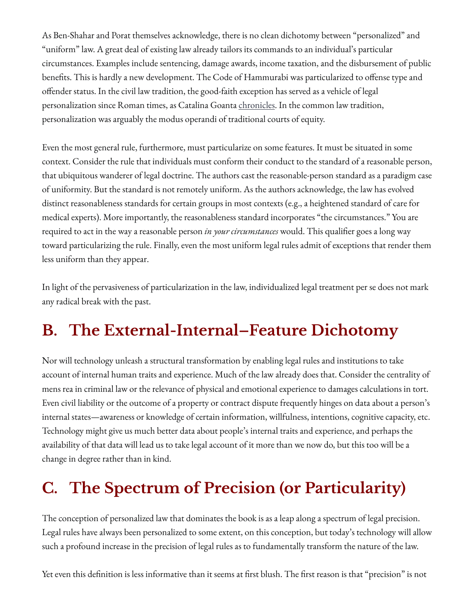As Ben-Shahar and Porat themselves acknowledge, there is no clean dichotomy between "personalized" and "uniform" law. A great deal of existing law already tailors its commands to an individual's particular circumstances. Examples include sentencing, damage awards, income taxation, and the disbursement of public benefits. This is hardly a new development. The Code of Hammurabi was particularized to offense type and o�ender status. In the civil law tradition, the good-faith exception has served as a vehicle of legal personalization since Roman times, as Catalina Goanta <u>chronicles</u>. In the common law tradition, personalization was arguably the modus operandi of traditional courts of equity.

Even the most general rule, furthermore, must particularize on some features. It must be situated in some context. Consider the rule that individuals must conform their conduct to the standard of a reasonable person, that ubiquitous wanderer of legal doctrine. The authors cast the reasonable-person standard as a paradigm case of uniformity. But the standard is not remotely uniform. As the authors acknowledge, the law has evolved distinct reasonableness standards for certain groups in most contexts (e.g., a heightened standard of care for medical experts). More importantly, the reasonableness standard incorporates "the circumstances." You are required to act in the way a reasonable person *in your circumstances* would. This quali�er goes a long way toward particularizing the rule. Finally, even the most uniform legal rules admit of exceptions that render them less uniform than they appear.

In light of the pervasiveness of particularization in the law, individualized legal treatment per se does not mark any radical break with the past.

## **B. The External-Internal–Feature Dichotomy**

Nor will technology unleash a structural transformation by enabling legal rules and institutions to take account of internal human traits and experience. Much of the law already does that. Consider the centrality of mens rea in criminal law or the relevance of physical and emotional experience to damages calculations in tort. Even civil liability or the outcome of a property or contract dispute frequently hinges on data about a person's internal states—awareness or knowledge of certain information, willfulness, intentions, cognitive capacity, etc. Technology might give us much better data about people's internal traits and experience, and perhaps the availability of that data will lead us to take legal account of it more than we now do, but this too will be a change in degree rather than in kind.

## **C. The Spectrum of Precision (or Particularity)**

The conception of personalized law that dominates the book is as a leap along a spectrum of legal precision. Legal rules have always been personalized to some extent, on this conception, but today's technology will allow such a profound increase in the precision of legal rules as to fundamentally transform the nature of the law.

Yet even this definition is less informative than it seems at first blush. The first reason is that "precision" is not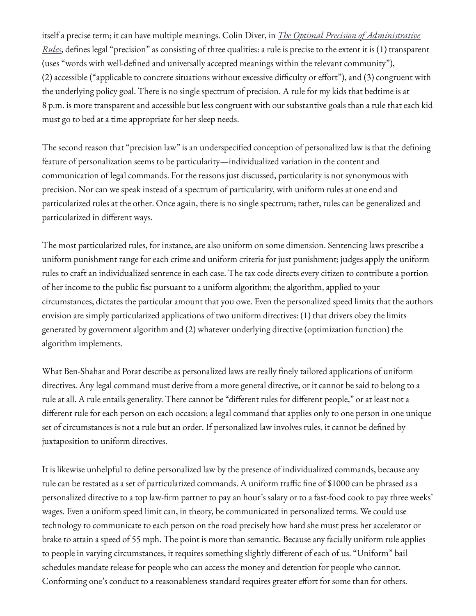itself a precise term; it can have multiple meanings. Colin Diver, in *[The Optimal Precision of Administrative](https://digitalcommons.law.yale.edu/cgi/viewcontent.cgi?article=6832&context=ylj) [Rules](https://digitalcommons.law.yale.edu/cgi/viewcontent.cgi?article=6832&context=ylj)*, defines legal "precision" as consisting of three qualities: a rule is precise to the extent it is (1) transparent (uses "words with well-de�ned and universally accepted meanings within the relevant community"), (2) accessible ("applicable to concrete situations without excessive difficulty or effort"), and (3) congruent with the underlying policy goal. There is no single spectrum of precision. A rule for my kids that bedtime is at 8 p.m. is more transparent and accessible but less congruent with our substantive goals than a rule that each kid must go to bed at a time appropriate for her sleep needs.

The second reason that "precision law" is an underspecified conception of personalized law is that the defining feature of personalization seems to be particularity—individualized variation in the content and communication of legal commands. For the reasons just discussed, particularity is not synonymous with precision. Nor can we speak instead of a spectrum of particularity, with uniform rules at one end and particularized rules at the other. Once again, there is no single spectrum; rather, rules can be generalized and particularized in different ways.

The most particularized rules, for instance, are also uniform on some dimension. Sentencing laws prescribe a uniform punishment range for each crime and uniform criteria for just punishment; judges apply the uniform rules to craft an individualized sentence in each case. The tax code directs every citizen to contribute a portion of her income to the public fisc pursuant to a uniform algorithm; the algorithm, applied to your circumstances, dictates the particular amount that you owe. Even the personalized speed limits that the authors envision are simply particularized applications of two uniform directives: (1) that drivers obey the limits generated by government algorithm and (2) whatever underlying directive (optimization function) the algorithm implements.

What Ben-Shahar and Porat describe as personalized laws are really finely tailored applications of uniform directives. Any legal command must derive from a more general directive, or it cannot be said to belong to a rule at all. A rule entails generality. There cannot be "different rules for different people," or at least not a different rule for each person on each occasion; a legal command that applies only to one person in one unique set of circumstances is not a rule but an order. If personalized law involves rules, it cannot be defined by juxtaposition to uniform directives.

It is likewise unhelpful to define personalized law by the presence of individualized commands, because any rule can be restated as a set of particularized commands. A uniform traffic fine of \$1000 can be phrased as a personalized directive to a top law-�rm partner to pay an hour's salary or to a fast-food cook to pay three weeks' wages. Even a uniform speed limit can, in theory, be communicated in personalized terms. We could use technology to communicate to each person on the road precisely how hard she must press her accelerator or brake to attain a speed of 55 mph. The point is more than semantic. Because any facially uniform rule applies to people in varying circumstances, it requires something slightly di�erent of each of us. "Uniform" bail schedules mandate release for people who can access the money and detention for people who cannot. Conforming one's conduct to a reasonableness standard requires greater effort for some than for others.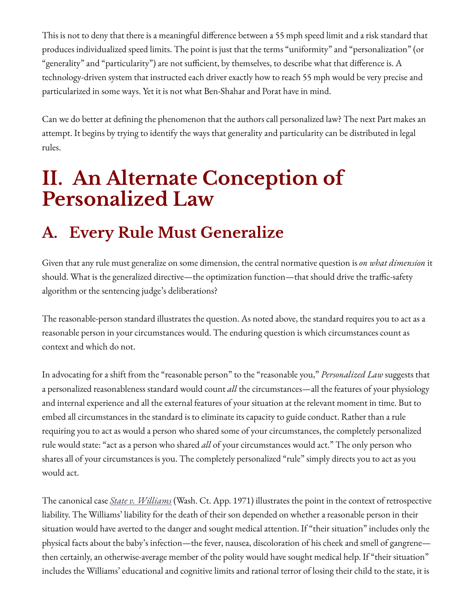This is not to deny that there is a meaningful difference between a 55 mph speed limit and a risk standard that produces individualized speed limits. The point is just that the terms "uniformity" and "personalization" (or "generality" and "particularity") are not sufficient, by themselves, to describe what that difference is. A technology-driven system that instructed each driver exactly how to reach 55 mph would be very precise and particularized in some ways. Yet it is not what Ben-Shahar and Porat have in mind.

Can we do better at defining the phenomenon that the authors call personalized law? The next Part makes an attempt. It begins by trying to identify the ways that generality and particularity can be distributed in legal rules.

## **II. An Alternate Conception of Personalized Law**

## **A. Every Rule Must Generalize**

Given that any rule must generalize on some dimension, the central normative question is *on what dimension* it should. What is the generalized directive—the optimization function—that should drive the traffic-safety algorithm or the sentencing judge's deliberations?

The reasonable-person standard illustrates the question. As noted above, the standard requires you to act as a reasonable person in your circumstances would. The enduring question is which circumstances count as context and which do not.

In advocating for a shift from the "reasonable person" to the "reasonable you," *Personalized Law* suggests that a personalized reasonableness standard would count *all* the circumstances—all the features of your physiology and internal experience and all the external features of your situation at the relevant moment in time. But to embed all circumstances in the standard is to eliminate its capacity to guide conduct. Rather than a rule requiring you to act as would a person who shared some of your circumstances, the completely personalized rule would state: "act as a person who shared *all* of your circumstances would act." The only person who shares all of your circumstances is you. The completely personalized "rule" simply directs you to act as you would act.

The canonical case *[State v. Williams](https://casetext.com/case/state-v-williams-2163)* (Wash. Ct. App. 1971) illustrates the point in the context of retrospective liability. The Williams' liability for the death of their son depended on whether a reasonable person in their situation would have averted to the danger and sought medical attention. If "their situation" includes only the physical facts about the baby's infection—the fever, nausea, discoloration of his cheek and smell of gangrene then certainly, an otherwise-average member of the polity would have sought medical help. If "their situation" includes the Williams' educational and cognitive limits and rational terror of losing their child to the state, it is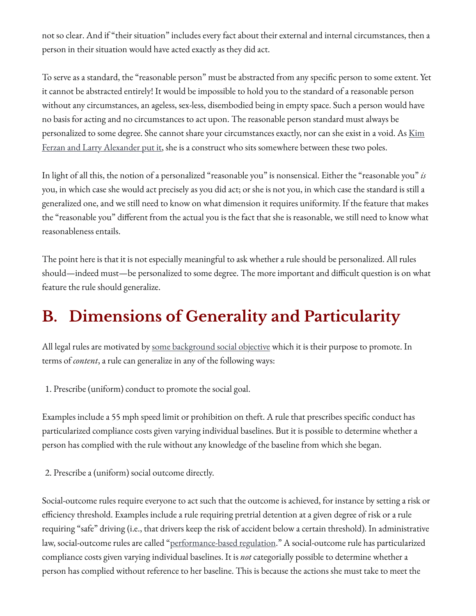not so clear. And if "their situation" includes every fact about their external and internal circumstances, then a person in their situation would have acted exactly as they did act.

To serve as a standard, the "reasonable person" must be abstracted from any specific person to some extent. Yet it cannot be abstracted entirely! It would be impossible to hold you to the standard of a reasonable person without any circumstances, an ageless, sex-less, disembodied being in empty space. Such a person would have no basis for acting and no circumstances to act upon. The reasonable person standard must always be personalized to some degree. She cannot share your circumstances exactly, nor can she exist in a void. As [Kim](https://oxford.universitypressscholarship.com/view/10.1093/acprof:osobl/9780199861279.001.0001/acprof-9780199861279-chapter-13) [Ferzan and Larry Alexander put it,](https://oxford.universitypressscholarship.com/view/10.1093/acprof:osobl/9780199861279.001.0001/acprof-9780199861279-chapter-13) she is a construct who sits somewhere between these two poles.

In light of all this, the notion of a personalized "reasonable you" is nonsensical. Either the "reasonable you" *is* you, in which case she would act precisely as you did act; or she is not you, in which case the standard is still a generalized one, and we still need to know on what dimension it requires uniformity. If the feature that makes the "reasonable you" di�erent from the actual you is the fact that she is reasonable, we still need to know what reasonableness entails.

The point here is that it is not especially meaningful to ask whether a rule should be personalized. All rules should—indeed must—be personalized to some degree. The more important and difficult question is on what feature the rule should generalize.

## **B. Dimensions of Generality and Particularity**

All legal rules are motivated by [some background social objective](https://oxford.universitypressscholarship.com/view/10.1093/acprof:oso/9780198258315.001.0001/acprof-9780198258315-chapter-2) which it is their purpose to promote. In terms of *content*, a rule can generalize in any of the following ways:

1. Prescribe (uniform) conduct to promote the social goal.

Examples include a 55 mph speed limit or prohibition on theft. A rule that prescribes speci�c conduct has particularized compliance costs given varying individual baselines. But it is possible to determine whether a person has complied with the rule without any knowledge of the baseline from which she began.

2. Prescribe a (uniform) social outcome directly.

Social-outcome rules require everyone to act such that the outcome is achieved, for instance by setting a risk or e�ciency threshold. Examples include a rule requiring pretrial detention at a given degree of risk or a rule requiring "safe" driving (i.e., that drivers keep the risk of accident below a certain threshold). In administrative law, social-outcome rules are called ["performance-based regulation.](https://perma.cc/5X2M-W3NG)" A social-outcome rule has particularized compliance costs given varying individual baselines. It is *not* categorially possible to determine whether a person has complied without reference to her baseline. This is because the actions she must take to meet the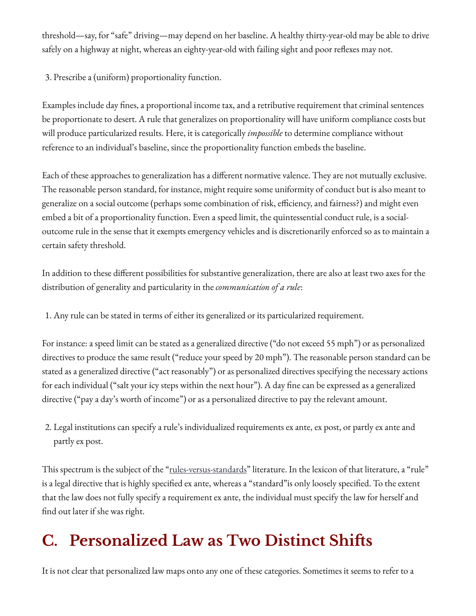threshold—say, for "safe" driving—may depend on her baseline. A healthy thirty-year-old may be able to drive safely on a highway at night, whereas an eighty-year-old with failing sight and poor reflexes may not.

3. Prescribe a (uniform) proportionality function.

Examples include day �nes, a proportional income tax, and a retributive requirement that criminal sentences be proportionate to desert. A rule that generalizes on proportionality will have uniform compliance costs but will produce particularized results. Here, it is categorically *impossible* to determine compliance without reference to an individual's baseline, since the proportionality function embeds the baseline.

Each of these approaches to generalization has a different normative valence. They are not mutually exclusive. The reasonable person standard, for instance, might require some uniformity of conduct but is also meant to generalize on a social outcome (perhaps some combination of risk, efficiency, and fairness?) and might even embed a bit of a proportionality function. Even a speed limit, the quintessential conduct rule, is a socialoutcome rule in the sense that it exempts emergency vehicles and is discretionarily enforced so as to maintain a certain safety threshold.

In addition to these different possibilities for substantive generalization, there are also at least two axes for the distribution of generality and particularity in the *communication of a rule*:

1. Any rule can be stated in terms of either its generalized or its particularized requirement.

For instance: a speed limit can be stated as a generalized directive ("do not exceed 55 mph") or as personalized directives to produce the same result ("reduce your speed by 20 mph"). The reasonable person standard can be stated as a generalized directive ("act reasonably") or as personalized directives specifying the necessary actions for each individual ("salt your icy steps within the next hour"). A day fine can be expressed as a generalized directive ("pay a day's worth of income") or as a personalized directive to pay the relevant amount.

2. Legal institutions can specify a rule's individualized requirements ex ante, ex post, or partly ex ante and partly ex post.

This spectrum is the subject of the "<u>rules-versus-standards</u>" literature. In the lexicon of that literature, a "rule" is a legal directive that is highly specified ex ante, whereas a "standard" is only loosely specified. To the extent that the law does not fully specify a requirement ex ante, the individual must specify the law for herself and find out later if she was right.

## **C. Personalized Law as Two Distinct Shi�s**

It is not clear that personalized law maps onto any one of these categories. Sometimes it seems to refer to a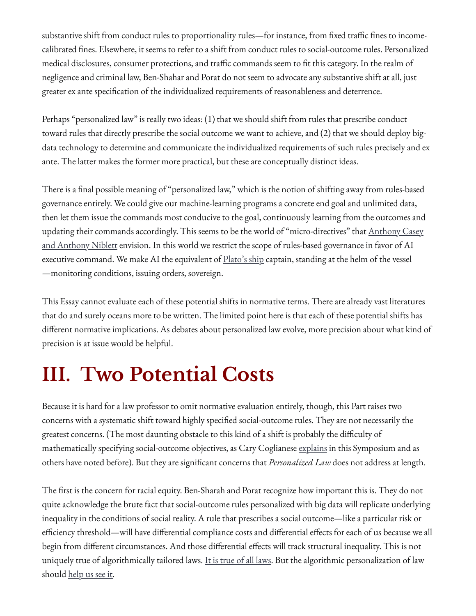substantive shift from conduct rules to proportionality rules—for instance, from fixed traffic fines to incomecalibrated �nes. Elsewhere, it seems to refer to a shift from conduct rules to social-outcome rules. Personalized medical disclosures, consumer protections, and traffic commands seem to fit this category. In the realm of negligence and criminal law, Ben-Shahar and Porat do not seem to advocate any substantive shift at all, just greater ex ante specification of the individualized requirements of reasonableness and deterrence.

Perhaps "personalized law" is really two ideas: (1) that we should shift from rules that prescribe conduct toward rules that directly prescribe the social outcome we want to achieve, and (2) that we should deploy bigdata technology to determine and communicate the individualized requirements of such rules precisely and ex ante. The latter makes the former more practical, but these are conceptually distinct ideas.

There is a final possible meaning of "personalized law," which is the notion of shifting away from rules-based governance entirely. We could give our machine-learning programs a concrete end goal and unlimited data, then let them issue the commands most conducive to the goal, continuously learning from the outcomes and updating their commands accordingly. This seems to be the world of "micro-directives" that [Anthony Casey](https://perma.cc/4FUE-YDY3) [and Anthony Niblett](https://perma.cc/4FUE-YDY3) envision. In this world we restrict the scope of rules-based governance in favor of AI executive command. We make AI the equivalent of **Plato's ship** captain, standing at the helm of the vessel —monitoring conditions, issuing orders, sovereign.

This Essay cannot evaluate each of these potential shifts in normative terms. There are already vast literatures that do and surely oceans more to be written. The limited point here is that each of these potential shifts has different normative implications. As debates about personalized law evolve, more precision about what kind of precision is at issue would be helpful.

# **III. Two Potential Costs**

Because it is hard for a law professor to omit normative evaluation entirely, though, this Part raises two concerns with a systematic shift toward highly specified social-outcome rules. They are not necessarily the greatest concerns. (The most daunting obstacle to this kind of a shift is probably the di�culty of mathematically specifying social-outcome objectives, as Cary Coglianese [explains](https://lawreviewblog.uchicago.edu/2022/03/09/bp-coglianese/) in this Symposium and as others have noted before). But they are signi�cant concerns that *Personalized Law* does not address at length.

The first is the concern for racial equity. Ben-Sharah and Porat recognize how important this is. They do not quite acknowledge the brute fact that social-outcome rules personalized with big data will replicate underlying inequality in the conditions of social reality. A rule that prescribes a social outcome—like a particular risk or efficiency threshold—will have differential compliance costs and differential effects for each of us because we all begin from different circumstances. And those differential effects will track structural inequality. This is not uniquely true of algorithmically tailored laws. [It is true of all laws.](https://wiki.duke.edu/download/attachments/100729513/Strauss_Myth_of_Colorblindness.pdf?api=v2) But the algorithmic personalization of law should [help us see it.](https://www.yalelawjournal.org/article/bias-in-bias-out)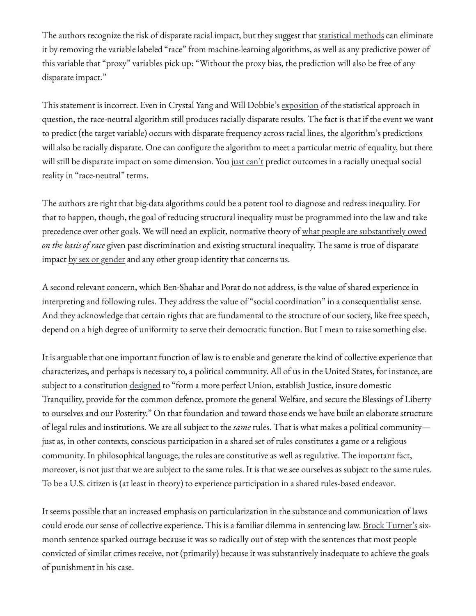The authors recognize the risk of disparate racial impact, but they suggest that [statistical methods](https://perma.cc/LMT3-JYFW) can eliminate it by removing the variable labeled "race" from machine-learning algorithms, as well as any predictive power of this variable that "proxy" variables pick up: "Without the proxy bias, the prediction will also be free of any disparate impact."

This statement is incorrect. Even in Crystal Yang and Will Dobbie's [exposition](https://perma.cc/LMT3-JYFW) of the statistical approach in question, the race-neutral algorithm still produces racially disparate results. The fact is that if the event we want to predict (the target variable) occurs with disparate frequency across racial lines, the algorithm's predictions will also be racially disparate. One can configure the algorithm to meet a particular metric of equality, but there will still be disparate impact on some dimension. You [just can't](https://www.yalelawjournal.org/article/bias-in-bias-out) predict outcomes in a racially unequal social reality in "race-neutral" terms.

The authors are right that big-data algorithms could be a potent tool to diagnose and redress inequality. For that to happen, though, the goal of reducing structural inequality must be programmed into the law and take precedence over other goals. We will need an explicit, normative theory of [what people are substantively owed](https://perma.cc/U4XV-HWVX) *on the basis of race* given past discrimination and existing structural inequality. The same is true of disparate impact [by sex or gender](https://perma.cc/3SAX-P82L) and any other group identity that concerns us.

A second relevant concern, which Ben-Shahar and Porat do not address, is the value of shared experience in interpreting and following rules. They address the value of "social coordination" in a consequentialist sense. And they acknowledge that certain rights that are fundamental to the structure of our society, like free speech, depend on a high degree of uniformity to serve their democratic function. But I mean to raise something else.

It is arguable that one important function of law is to enable and generate the kind of collective experience that characterizes, and perhaps is necessary to, a political community. All of us in the United States, for instance, are subject to a constitution [designed](https://www.law.cornell.edu/constitution/preamble) to "form a more perfect Union, establish Justice, insure domestic Tranquility, provide for the common defence, promote the general Welfare, and secure the Blessings of Liberty to ourselves and our Posterity." On that foundation and toward those ends we have built an elaborate structure of legal rules and institutions. We are all subject to the *same* rules. That is what makes a political community just as, in other contexts, conscious participation in a shared set of rules constitutes a game or a religious community. In philosophical language, the rules are constitutive as well as regulative. The important fact, moreover, is not just that we are subject to the same rules. It is that we see ourselves as subject to the same rules. To be a U.S. citizen is (at least in theory) to experience participation in a shared rules-based endeavor.

It seems possible that an increased emphasis on particularization in the substance and communication of laws could erode our sense of collective experience. This is a familiar dilemma in sentencing law. [Brock Turner's](https://en.wikipedia.org/wiki/People_v._Turner) sixmonth sentence sparked outrage because it was so radically out of step with the sentences that most people convicted of similar crimes receive, not (primarily) because it was substantively inadequate to achieve the goals of punishment in his case.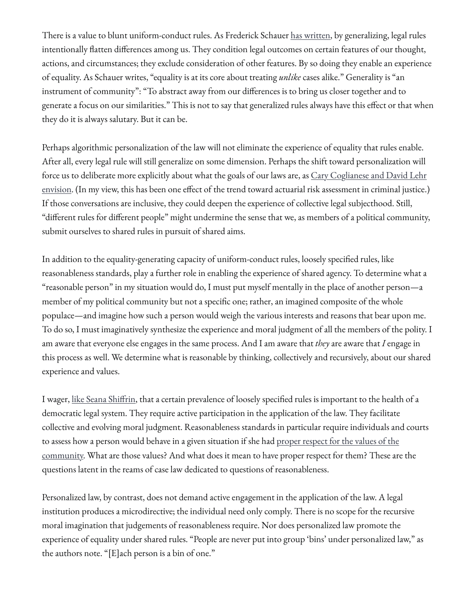There is a value to blunt uniform-conduct rules. As Frederick Schauer [has written](https://www.hup.harvard.edu/catalog.php?isbn=9780674021181), by generalizing, legal rules intentionally flatten differences among us. They condition legal outcomes on certain features of our thought, actions, and circumstances; they exclude consideration of other features. By so doing they enable an experience of equality. As Schauer writes, "equality is at its core about treating *unlike* cases alike." Generality is "an instrument of community": "To abstract away from our differences is to bring us closer together and to generate a focus on our similarities." This is not to say that generalized rules always have this effect or that when they do it is always salutary. But it can be.

Perhaps algorithmic personalization of the law will not eliminate the experience of equality that rules enable. After all, every legal rule will still generalize on some dimension. Perhaps the shift toward personalization will force us to deliberate more explicitly about what the goals of our laws are, as [Cary Coglianese and David Lehr](https://perma.cc/3CCP-GVQB) [envision.](https://perma.cc/3CCP-GVQB) (In my view, this has been one effect of the trend toward actuarial risk assessment in criminal justice.) If those conversations are inclusive, they could deepen the experience of collective legal subjecthood. Still, "different rules for different people" might undermine the sense that we, as members of a political community, submit ourselves to shared rules in pursuit of shared aims.

In addition to the equality-generating capacity of uniform-conduct rules, loosely specified rules, like reasonableness standards, play a further role in enabling the experience of shared agency. To determine what a "reasonable person" in my situation would do, I must put myself mentally in the place of another person—a member of my political community but not a specific one; rather, an imagined composite of the whole populace—and imagine how such a person would weigh the various interests and reasons that bear upon me. To do so, I must imaginatively synthesize the experience and moral judgment of all the members of the polity. I am aware that everyone else engages in the same process. And I am aware that *they* are aware that *I* engage in this process as well. We determine what is reasonable by thinking, collectively and recursively, about our shared experience and values.

I wager, [like Seana Shi](https://perma.cc/R4TV-M2AX)ffrin, that a certain prevalence of loosely specified rules is important to the health of a democratic legal system. They require active participation in the application of the law. They facilitate collective and evolving moral judgment. Reasonableness standards in particular require individuals and courts to assess how a person would behave in a given situation if she had [proper respect for the values of the](https://link.springer.com/content/pdf/10.1007/s11572-007-9041-2.pdf) [community.](https://link.springer.com/content/pdf/10.1007/s11572-007-9041-2.pdf) What are those values? And what does it mean to have proper respect for them? These are the questions latent in the reams of case law dedicated to questions of reasonableness.

Personalized law, by contrast, does not demand active engagement in the application of the law. A legal institution produces a microdirective; the individual need only comply. There is no scope for the recursive moral imagination that judgements of reasonableness require. Nor does personalized law promote the experience of equality under shared rules. "People are never put into group 'bins' under personalized law," as the authors note. "[E]ach person is a bin of one."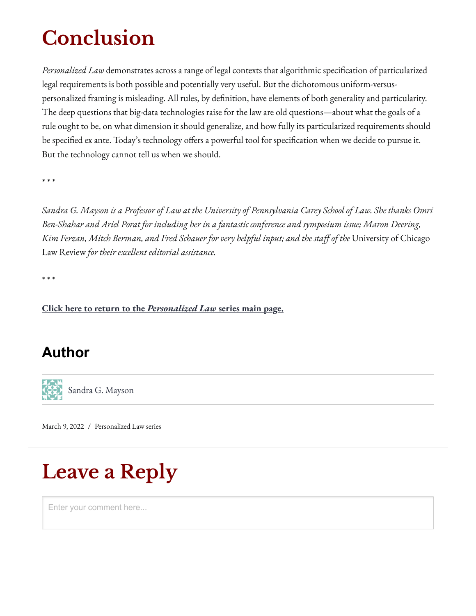# **Conclusion**

*Personalized Law* demonstrates across a range of legal contexts that algorithmic speci�cation of particularized legal requirements is both possible and potentially very useful. But the dichotomous uniform-versuspersonalized framing is misleading. All rules, by definition, have elements of both generality and particularity. The deep questions that big-data technologies raise for the law are old questions—about what the goals of a rule ought to be, on what dimension it should generalize, and how fully its particularized requirements should be specified ex ante. Today's technology offers a powerful tool for specification when we decide to pursue it. But the technology cannot tell us when we should.

\* \* \*

*Sandra G. Mayson is a Professor of Law at the University of Pennsylvania Carey School of Law. She thanks Omri Ben-Shahar and Ariel Porat for including her in a fantastic conference and symposium issue; Maron Deering, Kim Ferzan, Mitch Berman, and Fred Schauer for very helpful input; and the sta� of the* University of Chicago Law Review *for their excellent editorial assistance.*

\* \* \*

**[Click here to return to the](https://lawreviewblog.uchicago.edu/2022/03/09/bp-series/)** *[Personalized Law](https://lawreviewblog.uchicago.edu/2022/03/09/bp-series/)* **[series main page.](https://lawreviewblog.uchicago.edu/2022/03/09/bp-series/)**

### **Author**



[Sandra G. Mayson](https://lawreviewblog.uchicago.edu/author/sandra-g-mayson/)

[March 9, 2022](https://lawreviewblog.uchicago.edu/2022/03/09/bp-mayson/) / [Personalized Law series](https://lawreviewblog.uchicago.edu/tag/personalized-law-series/)

# **Leave a Reply**

Enter your comment here...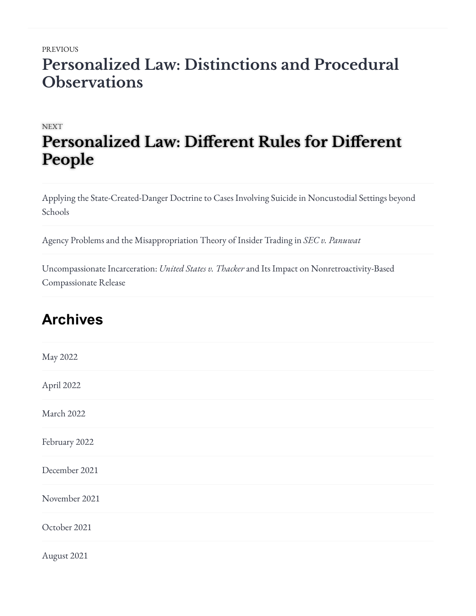### [PREVIOUS](https://lawreviewblog.uchicago.edu/2022/03/09/bp-grigoleit/) **[Personalized Law: Distinctions and Procedural](https://lawreviewblog.uchicago.edu/2022/03/09/bp-grigoleit/) [Observations](https://lawreviewblog.uchicago.edu/2022/03/09/bp-grigoleit/)**

#### **[NEXT](https://lawreviewblog.uchicago.edu/2022/03/09/bp-series/)**

## $\bf{People}$ **[Personalized Law: Di](https://lawreviewblog.uchicago.edu/2022/03/09/bp-series/)fferent Rules for Different**

[Applying the State-Created-Danger Doctrine to Cases Involving Suicide in Noncustodial Settings beyond](https://lawreviewblog.uchicago.edu/2022/05/23/lee-state-created-danger/) [Schools](https://lawreviewblog.uchicago.edu/2022/05/23/lee-state-created-danger/)

[Agency Problems and the Misappropriation Theory of Insider Trading in](https://lawreviewblog.uchicago.edu/2022/05/13/fane-insider-trading/) *[SEC v. Panuwat](https://lawreviewblog.uchicago.edu/2022/05/13/fane-insider-trading/)*

[Uncompassionate Incarceration:](https://lawreviewblog.uchicago.edu/2022/05/12/lessnick-compassionate-release/) *[United States v. Thacker](https://lawreviewblog.uchicago.edu/2022/05/12/lessnick-compassionate-release/)* [and Its Impact on Nonretroactivity-Based](https://lawreviewblog.uchicago.edu/2022/05/12/lessnick-compassionate-release/) [Compassionate Release](https://lawreviewblog.uchicago.edu/2022/05/12/lessnick-compassionate-release/)

### **Archives**

[August 2021](https://lawreviewblog.uchicago.edu/2021/08/)

| May 2022      |  |  |
|---------------|--|--|
| April 2022    |  |  |
| March 2022    |  |  |
| February 2022 |  |  |
| December 2021 |  |  |
| November 2021 |  |  |
| October 2021  |  |  |
|               |  |  |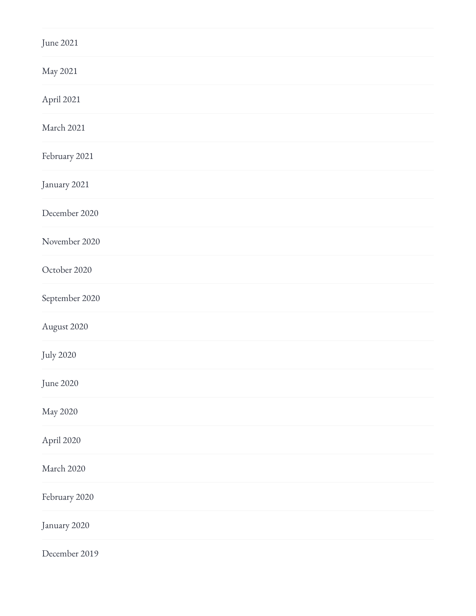| June 2021        |  |
|------------------|--|
| May 2021         |  |
| April 2021       |  |
| March 2021       |  |
| February 2021    |  |
| January 2021     |  |
| December 2020    |  |
| November 2020    |  |
| October 2020     |  |
| September 2020   |  |
| August 2020      |  |
| <b>July 2020</b> |  |
| June 2020        |  |
| May 2020         |  |
| April 2020       |  |
| March 2020       |  |
| February 2020    |  |
| January 2020     |  |
| December 2019    |  |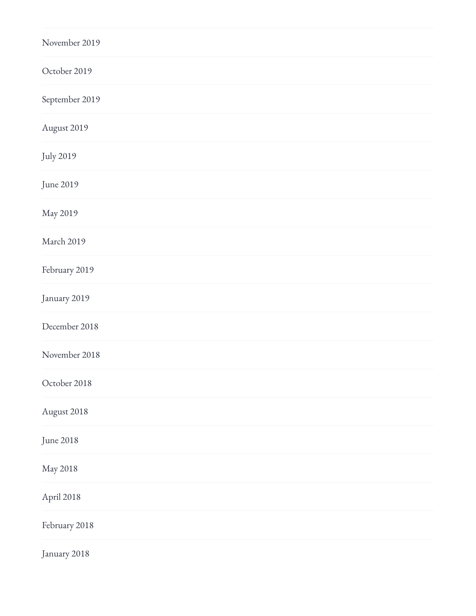| November 2019    |  |  |
|------------------|--|--|
| October 2019     |  |  |
| September 2019   |  |  |
| August 2019      |  |  |
| <b>July 2019</b> |  |  |
| June 2019        |  |  |
| May 2019         |  |  |
| March 2019       |  |  |
| February 2019    |  |  |
| January 2019     |  |  |
| December 2018    |  |  |
| November 2018    |  |  |
| October 2018     |  |  |
| August 2018      |  |  |
| June 2018        |  |  |
| May 2018         |  |  |
| April 2018       |  |  |
| February 2018    |  |  |
| January 2018     |  |  |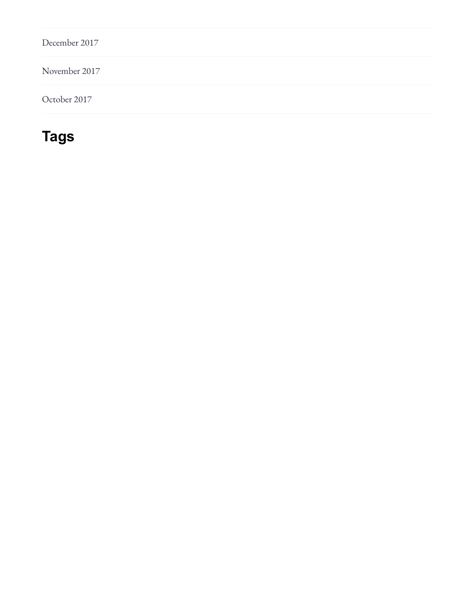[December 2017](https://lawreviewblog.uchicago.edu/2017/12/)

[November 2017](https://lawreviewblog.uchicago.edu/2017/11/)

[October 2017](https://lawreviewblog.uchicago.edu/2017/10/)

### **Tags**